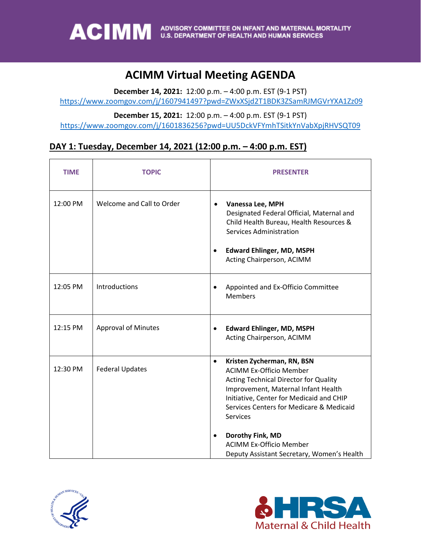### **ACIMM Virtual Meeting AGENDA**

**December 14, 2021:** 12:00 p.m. – 4:00 p.m. EST (9-1 PST)

<https://www.zoomgov.com/j/1607941497?pwd=ZWxXSjd2T1BDK3ZSamRJMGVrYXA1Zz09>

**December 15, 2021:** 12:00 p.m. – 4:00 p.m. EST (9-1 PST)

<https://www.zoomgov.com/j/1601836256?pwd=UU5DckVFYmhTSitkYnVabXpjRHVSQT09>

#### **DAY 1: Tuesday, December 14, 2021 (12:00 p.m. – 4:00 p.m. EST)**

| <b>TIME</b> | <b>TOPIC</b>               | <b>PRESENTER</b>                                                                                                                                                                                                                                                                                                                                                                             |
|-------------|----------------------------|----------------------------------------------------------------------------------------------------------------------------------------------------------------------------------------------------------------------------------------------------------------------------------------------------------------------------------------------------------------------------------------------|
| 12:00 PM    | Welcome and Call to Order  | Vanessa Lee, MPH<br>$\bullet$<br>Designated Federal Official, Maternal and<br>Child Health Bureau, Health Resources &<br><b>Services Administration</b><br><b>Edward Ehlinger, MD, MSPH</b><br>$\bullet$<br>Acting Chairperson, ACIMM                                                                                                                                                        |
| 12:05 PM    | Introductions              | Appointed and Ex-Officio Committee<br>$\bullet$<br><b>Members</b>                                                                                                                                                                                                                                                                                                                            |
| 12:15 PM    | <b>Approval of Minutes</b> | <b>Edward Ehlinger, MD, MSPH</b><br>$\bullet$<br>Acting Chairperson, ACIMM                                                                                                                                                                                                                                                                                                                   |
| 12:30 PM    | <b>Federal Updates</b>     | Kristen Zycherman, RN, BSN<br>$\bullet$<br><b>ACIMM Ex-Officio Member</b><br><b>Acting Technical Director for Quality</b><br>Improvement, Maternal Infant Health<br>Initiative, Center for Medicaid and CHIP<br>Services Centers for Medicare & Medicaid<br><b>Services</b><br>Dorothy Fink, MD<br>$\bullet$<br><b>ACIMM Ex-Officio Member</b><br>Deputy Assistant Secretary, Women's Health |



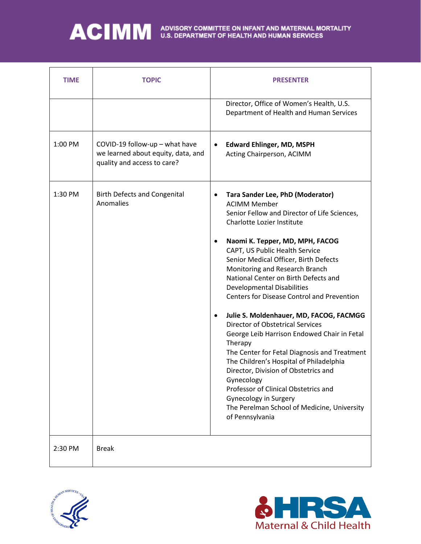| <b>TIME</b> | <b>TOPIC</b>                                                                                        | <b>PRESENTER</b>                                                                                                                                                                                                                                                                                                                                                                                                                                                                                                                                                                                                                                                                                                                                                                                                                                                                                          |
|-------------|-----------------------------------------------------------------------------------------------------|-----------------------------------------------------------------------------------------------------------------------------------------------------------------------------------------------------------------------------------------------------------------------------------------------------------------------------------------------------------------------------------------------------------------------------------------------------------------------------------------------------------------------------------------------------------------------------------------------------------------------------------------------------------------------------------------------------------------------------------------------------------------------------------------------------------------------------------------------------------------------------------------------------------|
|             |                                                                                                     | Director, Office of Women's Health, U.S.<br>Department of Health and Human Services                                                                                                                                                                                                                                                                                                                                                                                                                                                                                                                                                                                                                                                                                                                                                                                                                       |
| 1:00 PM     | COVID-19 follow-up - what have<br>we learned about equity, data, and<br>quality and access to care? | <b>Edward Ehlinger, MD, MSPH</b><br>$\bullet$<br>Acting Chairperson, ACIMM                                                                                                                                                                                                                                                                                                                                                                                                                                                                                                                                                                                                                                                                                                                                                                                                                                |
| 1:30 PM     | <b>Birth Defects and Congenital</b><br>Anomalies                                                    | Tara Sander Lee, PhD (Moderator)<br>$\bullet$<br><b>ACIMM Member</b><br>Senior Fellow and Director of Life Sciences,<br><b>Charlotte Lozier Institute</b><br>Naomi K. Tepper, MD, MPH, FACOG<br>$\bullet$<br>CAPT, US Public Health Service<br>Senior Medical Officer, Birth Defects<br>Monitoring and Research Branch<br>National Center on Birth Defects and<br><b>Developmental Disabilities</b><br><b>Centers for Disease Control and Prevention</b><br>Julie S. Moldenhauer, MD, FACOG, FACMGG<br>$\bullet$<br><b>Director of Obstetrical Services</b><br>George Leib Harrison Endowed Chair in Fetal<br>Therapy<br>The Center for Fetal Diagnosis and Treatment<br>The Children's Hospital of Philadelphia<br>Director, Division of Obstetrics and<br>Gynecology<br>Professor of Clinical Obstetrics and<br>Gynecology in Surgery<br>The Perelman School of Medicine, University<br>of Pennsylvania |
| 2:30 PM     | <b>Break</b>                                                                                        |                                                                                                                                                                                                                                                                                                                                                                                                                                                                                                                                                                                                                                                                                                                                                                                                                                                                                                           |



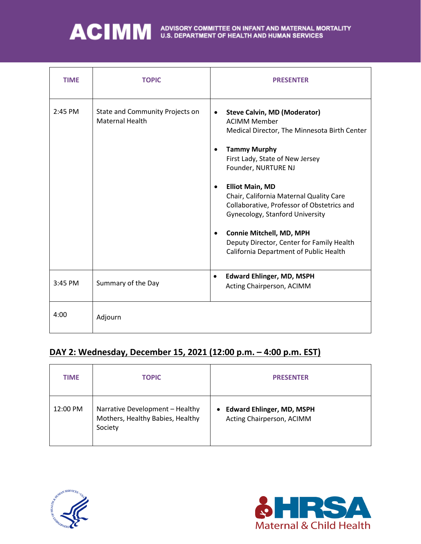| <b>TIME</b> | <b>TOPIC</b>                                              | <b>PRESENTER</b>                                                                                                                                                                                                                                                                                                                                                                                                                                                                                            |
|-------------|-----------------------------------------------------------|-------------------------------------------------------------------------------------------------------------------------------------------------------------------------------------------------------------------------------------------------------------------------------------------------------------------------------------------------------------------------------------------------------------------------------------------------------------------------------------------------------------|
| 2:45 PM     | State and Community Projects on<br><b>Maternal Health</b> | <b>Steve Calvin, MD (Moderator)</b><br>$\bullet$<br><b>ACIMM Member</b><br>Medical Director, The Minnesota Birth Center<br><b>Tammy Murphy</b><br>$\bullet$<br>First Lady, State of New Jersey<br>Founder, NURTURE NJ<br><b>Elliot Main, MD</b><br>Chair, California Maternal Quality Care<br>Collaborative, Professor of Obstetrics and<br>Gynecology, Stanford University<br>Connie Mitchell, MD, MPH<br>$\bullet$<br>Deputy Director, Center for Family Health<br>California Department of Public Health |
| 3:45 PM     | Summary of the Day                                        | <b>Edward Ehlinger, MD, MSPH</b><br>$\bullet$<br>Acting Chairperson, ACIMM                                                                                                                                                                                                                                                                                                                                                                                                                                  |
| 4:00        | Adjourn                                                   |                                                                                                                                                                                                                                                                                                                                                                                                                                                                                                             |

#### **DAY 2: Wednesday, December 15, 2021 (12:00 p.m. – 4:00 p.m. EST)**

| <b>TIME</b> | <b>TOPIC</b>                                                                   | <b>PRESENTER</b>                                                           |
|-------------|--------------------------------------------------------------------------------|----------------------------------------------------------------------------|
| 12:00 PM    | Narrative Development - Healthy<br>Mothers, Healthy Babies, Healthy<br>Society | <b>Edward Ehlinger, MD, MSPH</b><br>$\bullet$<br>Acting Chairperson, ACIMM |



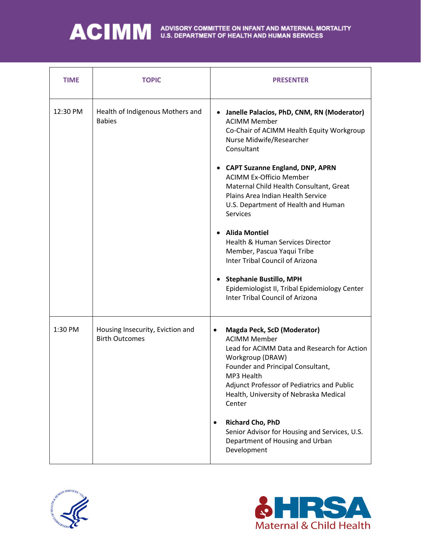| <b>TIME</b> | <b>TOPIC</b>                                              | <b>PRESENTER</b>                                                                                                                                                                                                                                                                                                                                                                                                                                                                                                                                                                                                                           |
|-------------|-----------------------------------------------------------|--------------------------------------------------------------------------------------------------------------------------------------------------------------------------------------------------------------------------------------------------------------------------------------------------------------------------------------------------------------------------------------------------------------------------------------------------------------------------------------------------------------------------------------------------------------------------------------------------------------------------------------------|
| 12:30 PM    | Health of Indigenous Mothers and<br><b>Babies</b>         | Janelle Palacios, PhD, CNM, RN (Moderator)<br><b>ACIMM Member</b><br>Co-Chair of ACIMM Health Equity Workgroup<br>Nurse Midwife/Researcher<br>Consultant<br>• CAPT Suzanne England, DNP, APRN<br><b>ACIMM Ex-Officio Member</b><br>Maternal Child Health Consultant, Great<br>Plains Area Indian Health Service<br>U.S. Department of Health and Human<br><b>Services</b><br><b>Alida Montiel</b><br>Health & Human Services Director<br>Member, Pascua Yaqui Tribe<br><b>Inter Tribal Council of Arizona</b><br><b>Stephanie Bustillo, MPH</b><br>Epidemiologist II, Tribal Epidemiology Center<br><b>Inter Tribal Council of Arizona</b> |
| 1:30 PM     | Housing Insecurity, Eviction and<br><b>Birth Outcomes</b> | <b>Magda Peck, ScD (Moderator)</b><br>٠<br><b>ACIMM Member</b><br>Lead for ACIMM Data and Research for Action<br>Workgroup (DRAW)<br>Founder and Principal Consultant,<br>MP3 Health<br>Adjunct Professor of Pediatrics and Public<br>Health, University of Nebraska Medical<br>Center<br><b>Richard Cho, PhD</b><br>$\bullet$<br>Senior Advisor for Housing and Services, U.S.<br>Department of Housing and Urban<br>Development                                                                                                                                                                                                          |



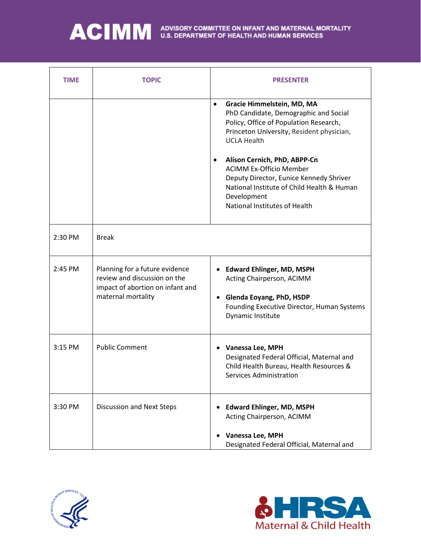| <b>TIME</b> | <b>TOPIC</b>                                                                                                             | <b>PRESENTER</b>                                                                                                                                                                                                                                                                                                                                                                                                      |
|-------------|--------------------------------------------------------------------------------------------------------------------------|-----------------------------------------------------------------------------------------------------------------------------------------------------------------------------------------------------------------------------------------------------------------------------------------------------------------------------------------------------------------------------------------------------------------------|
|             |                                                                                                                          | Gracie Himmelstein, MD, MA<br>$\bullet$<br>PhD Candidate, Demographic and Social<br>Policy, Office of Population Research,<br>Princeton University, Resident physician,<br><b>UCLA Health</b><br>Alison Cernich, PhD, ABPP-Cn<br>$\bullet$<br><b>ACIMM Ex-Officio Member</b><br>Deputy Director, Eunice Kennedy Shriver<br>National Institute of Child Health & Human<br>Development<br>National Institutes of Health |
| 2:30 PM     | <b>Break</b>                                                                                                             |                                                                                                                                                                                                                                                                                                                                                                                                                       |
| 2:45 PM     | Planning for a future evidence<br>review and discussion on the<br>impact of abortion on infant and<br>maternal mortality | <b>Edward Ehlinger, MD, MSPH</b><br>Acting Chairperson, ACIMM<br>Glenda Eoyang, PhD, HSDP<br>Founding Executive Director, Human Systems<br>Dynamic Institute                                                                                                                                                                                                                                                          |
| 3:15 PM     | <b>Public Comment</b>                                                                                                    | Vanessa Lee, MPH<br>٠<br>Designated Federal Official, Maternal and<br>Child Health Bureau, Health Resources &<br>Services Administration                                                                                                                                                                                                                                                                              |
| 3:30 PM     | Discussion and Next Steps                                                                                                | <b>Edward Ehlinger, MD, MSPH</b><br>Acting Chairperson, ACIMM<br>Vanessa Lee, MPH<br>Designated Federal Official, Maternal and                                                                                                                                                                                                                                                                                        |